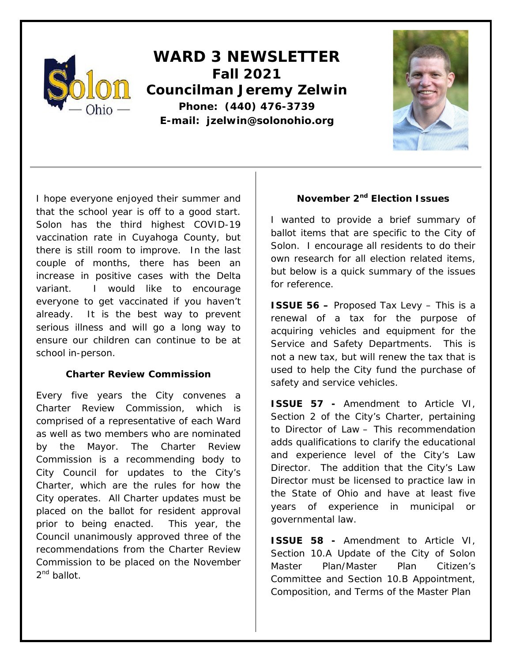

**WARD 3 NEWSLETTER Fall 2021 Councilman Jeremy Zelwin Phone: (440) 476-3739 E-mail: jzelwin@solonohio.org**



I hope everyone enjoyed their summer and that the school year is off to a good start. Solon has the third highest COVID-19 vaccination rate in Cuyahoga County, but there is still room to improve. In the last couple of months, there has been an increase in positive cases with the Delta variant. I would like to encourage everyone to get vaccinated if you haven't already. It is the best way to prevent serious illness and will go a long way to ensure our children can continue to be at school in-person.

## **Charter Review Commission**

Every five years the City convenes a Charter Review Commission, which is comprised of a representative of each Ward as well as two members who are nominated by the Mayor. The Charter Review Commission is a recommending body to City Council for updates to the City's Charter, which are the rules for how the City operates. All Charter updates must be placed on the ballot for resident approval prior to being enacted. This year, the Council unanimously approved three of the recommendations from the Charter Review Commission to be placed on the November 2<sup>nd</sup> ballot.

# **November 2nd Election Issues**

I wanted to provide a brief summary of ballot items that are specific to the City of Solon. I encourage all residents to do their own research for all election related items, but below is a quick summary of the issues for reference.

**ISSUE 56 –** Proposed Tax Levy – This is a renewal of a tax for the purpose of acquiring vehicles and equipment for the Service and Safety Departments. This is not a new tax, but will renew the tax that is used to help the City fund the purchase of safety and service vehicles.

**ISSUE 57 -** Amendment to Article VI, Section 2 of the City's Charter, pertaining to Director of Law – This recommendation adds qualifications to clarify the educational and experience level of the City's Law Director. The addition that the City's Law Director must be licensed to practice law in the State of Ohio and have at least five years of experience in municipal or governmental law.

**ISSUE 58 -** Amendment to Article VI, Section 10.A Update of the City of Solon Master Plan/Master Plan Citizen's Committee and Section 10.B Appointment, Composition, and Terms of the Master Plan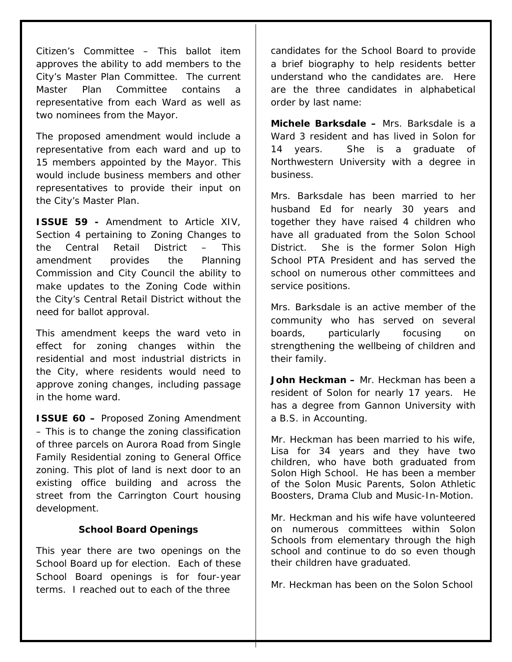Citizen's Committee – This ballot item approves the ability to add members to the City's Master Plan Committee. The current Master Plan Committee contains a representative from each Ward as well as two nominees from the Mayor.

The proposed amendment would include a representative from each ward and up to 15 members appointed by the Mayor. This would include business members and other representatives to provide their input on the City's Master Plan.

**ISSUE 59 -** Amendment to Article XIV, Section 4 pertaining to Zoning Changes to the Central Retail District – This amendment provides the Planning Commission and City Council the ability to make updates to the Zoning Code within the City's Central Retail District without the need for ballot approval.

This amendment keeps the ward veto in effect for zoning changes within the residential and most industrial districts in the City, where residents would need to approve zoning changes, including passage in the home ward.

**ISSUE 60 –** Proposed Zoning Amendment – This is to change the zoning classification of three parcels on Aurora Road from Single Family Residential zoning to General Office zoning. This plot of land is next door to an existing office building and across the street from the Carrington Court housing development.

#### **School Board Openings**

This year there are two openings on the School Board up for election. Each of these School Board openings is for four-year terms. I reached out to each of the three

candidates for the School Board to provide a brief biography to help residents better understand who the candidates are. Here are the three candidates in alphabetical order by last name:

**Michele Barksdale –** Mrs. Barksdale is a Ward 3 resident and has lived in Solon for 14 years. She is a graduate of Northwestern University with a degree in business.

Mrs. Barksdale has been married to her husband Ed for nearly 30 years and together they have raised 4 children who have all graduated from the Solon School District. She is the former Solon High School PTA President and has served the school on numerous other committees and service positions.

Mrs. Barksdale is an active member of the community who has served on several boards, particularly focusing on strengthening the wellbeing of children and their family.

**John Heckman –** Mr. Heckman has been a resident of Solon for nearly 17 years. He has a degree from Gannon University with a B.S. in Accounting.

Mr. Heckman has been married to his wife, Lisa for 34 years and they have two children, who have both graduated from Solon High School. He has been a member of the Solon Music Parents, Solon Athletic Boosters, Drama Club and Music-In-Motion.

Mr. Heckman and his wife have volunteered on numerous committees within Solon Schools from elementary through the high school and continue to do so even though their children have graduated.

Mr. Heckman has been on the Solon School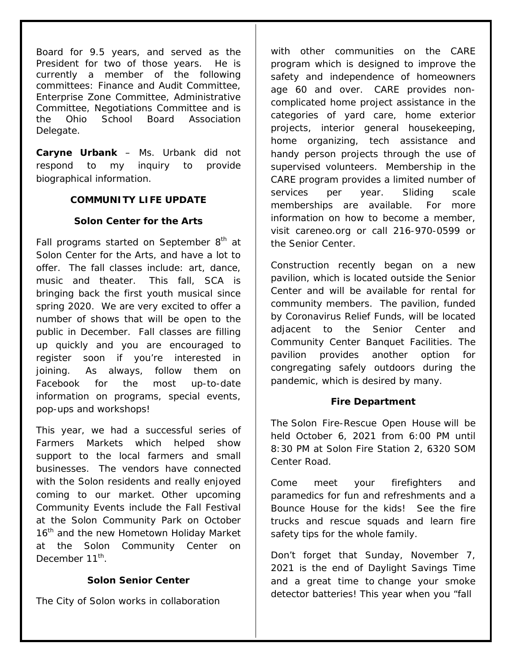Board for 9.5 years, and served as the President for two of those years. He is currently a member of the following committees: Finance and Audit Committee, Enterprise Zone Committee, Administrative Committee, Negotiations Committee and is the Ohio School Board Association Delegate.

**Caryne Urbank** – Ms. Urbank did not respond to my inquiry to provide biographical information.

# **COMMUNITY LIFE UPDATE**

# **Solon Center for the Arts**

Fall programs started on September  $8<sup>th</sup>$  at Solon Center for the Arts, and have a lot to offer. The fall classes include: art, dance, music and theater. This fall, SCA is bringing back the first youth musical since spring 2020. We are very excited to offer a number of shows that will be open to the public in December. Fall classes are filling up quickly and you are encouraged to register soon if you're interested in joining. As always, follow them on Facebook for the most up-to-date information on programs, special events, pop-ups and workshops!

This year, we had a successful series of Farmers Markets which helped show support to the local farmers and small businesses. The vendors have connected with the Solon residents and really enjoyed coming to our market. Other upcoming Community Events include the Fall Festival at the Solon Community Park on October 16<sup>th</sup> and the new Hometown Holiday Market at the Solon Community Center on December 11<sup>th</sup>

## **Solon Senior Center**

The City of Solon works in collaboration

with other communities on the CARE program which is designed to improve the safety and independence of homeowners age 60 and over. CARE provides noncomplicated home project assistance in the categories of yard care, home exterior projects, interior general housekeeping, home organizing, tech assistance and handy person projects through the use of supervised volunteers. Membership in the CARE program provides a limited number of services per year. Sliding scale memberships are available. For more information on how to become a member, visit careneo.org or call 216-970-0599 or the Senior Center.

Construction recently began on a new pavilion, which is located outside the Senior Center and will be available for rental for community members. The pavilion, funded by Coronavirus Relief Funds, will be located adjacent to the Senior Center and Community Center Banquet Facilities. The pavilion provides another option for congregating safely outdoors during the pandemic, which is desired by many.

## **Fire Department**

The Solon Fire-Rescue Open House will be held October 6, 2021 from 6:00 PM until 8:30 PM at Solon Fire Station 2, 6320 SOM Center Road.

Come meet your firefighters and paramedics for fun and refreshments and a Bounce House for the kids! See the fire trucks and rescue squads and learn fire safety tips for the whole family.

Don't forget that Sunday, November 7, 2021 is the end of Daylight Savings Time and a great time to change your smoke detector batteries! This year when you "fall